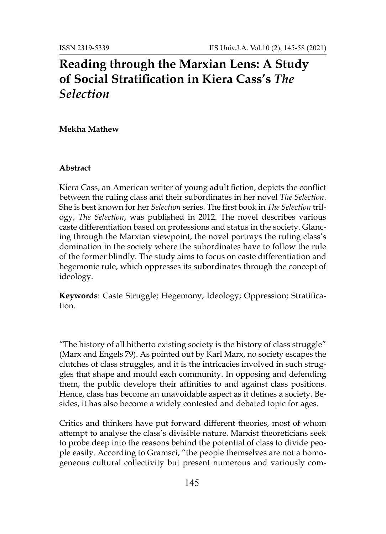# **Reading through the Marxian Lens: A Study of Social Stratification in Kiera Cass's** *The Selection*

#### **Mekha Mathew**

#### **Abstract**

Kiera Cass, an American writer of young adult fiction, depicts the conflict between the ruling class and their subordinates in her novel *The Selection*. She is best known for her *Selection* series. The first book in *The Selection* trilogy, *The Selection*, was published in 2012. The novel describes various caste differentiation based on professions and status in the society. Glancing through the Marxian viewpoint, the novel portrays the ruling class's domination in the society where the subordinates have to follow the rule of the former blindly. The study aims to focus on caste differentiation and hegemonic rule, which oppresses its subordinates through the concept of ideology.

**Keywords**: Caste Struggle; Hegemony; Ideology; Oppression; Stratification.

"The history of all hitherto existing society is the history of class struggle" (Marx and Engels 79). As pointed out by Karl Marx, no society escapes the clutches of class struggles, and it is the intricacies involved in such struggles that shape and mould each community. In opposing and defending them, the public develops their affinities to and against class positions. Hence, class has become an unavoidable aspect as it defines a society. Besides, it has also become a widely contested and debated topic for ages.

Critics and thinkers have put forward different theories, most of whom attempt to analyse the class's divisible nature. Marxist theoreticians seek to probe deep into the reasons behind the potential of class to divide people easily. According to Gramsci, "the people themselves are not a homogeneous cultural collectivity but present numerous and variously com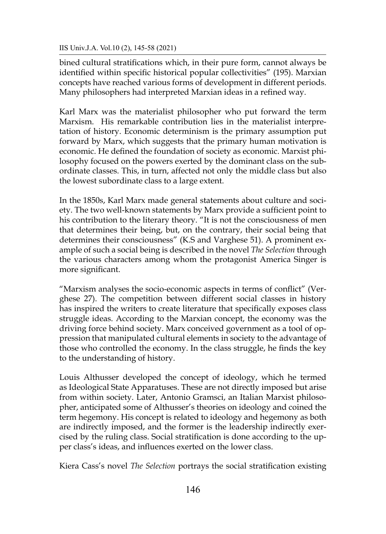IIS Univ.J.A. Vol.10 (2), 145-58 (2021)

bined cultural stratifications which, in their pure form, cannot always be identified within specific historical popular collectivities" (195). Marxian concepts have reached various forms of development in different periods. Many philosophers had interpreted Marxian ideas in a refined way.

Karl Marx was the materialist philosopher who put forward the term Marxism. His remarkable contribution lies in the materialist interpretation of history. Economic determinism is the primary assumption put forward by Marx, which suggests that the primary human motivation is economic. He defined the foundation of society as economic. Marxist philosophy focused on the powers exerted by the dominant class on the subordinate classes. This, in turn, affected not only the middle class but also the lowest subordinate class to a large extent.

In the 1850s, Karl Marx made general statements about culture and society. The two well-known statements by Marx provide a sufficient point to his contribution to the literary theory. "It is not the consciousness of men that determines their being, but, on the contrary, their social being that determines their consciousness" (K.S and Varghese 51). A prominent example of such a social being is described in the novel *The Selection* through the various characters among whom the protagonist America Singer is more significant.

"Marxism analyses the socio-economic aspects in terms of conflict" (Verghese 27). The competition between different social classes in history has inspired the writers to create literature that specifically exposes class struggle ideas. According to the Marxian concept, the economy was the driving force behind society. Marx conceived government as a tool of oppression that manipulated cultural elements in society to the advantage of those who controlled the economy. In the class struggle, he finds the key to the understanding of history.

Louis Althusser developed the concept of ideology, which he termed as Ideological State Apparatuses. These are not directly imposed but arise from within society. Later, Antonio Gramsci, an Italian Marxist philosopher, anticipated some of Althusser's theories on ideology and coined the term hegemony. His concept is related to ideology and hegemony as both are indirectly imposed, and the former is the leadership indirectly exercised by the ruling class. Social stratification is done according to the upper class's ideas, and influences exerted on the lower class.

Kiera Cass's novel *The Selection* portrays the social stratification existing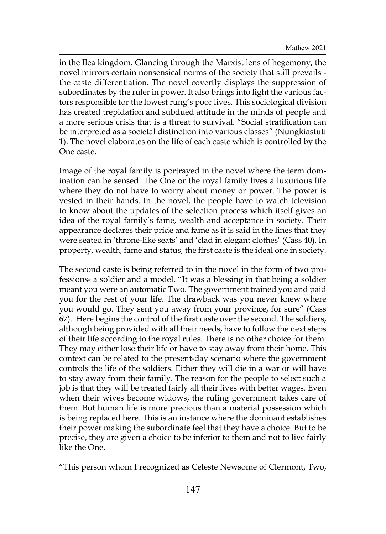in the Ilea kingdom. Glancing through the Marxist lens of hegemony, the novel mirrors certain nonsensical norms of the society that still prevails the caste differentiation. The novel covertly displays the suppression of subordinates by the ruler in power. It also brings into light the various factors responsible for the lowest rung's poor lives. This sociological division has created trepidation and subdued attitude in the minds of people and a more serious crisis that is a threat to survival. "Social stratification can be interpreted as a societal distinction into various classes" (Nungkiastuti 1). The novel elaborates on the life of each caste which is controlled by the One caste.

Image of the royal family is portrayed in the novel where the term domination can be sensed. The One or the royal family lives a luxurious life where they do not have to worry about money or power. The power is vested in their hands. In the novel, the people have to watch television to know about the updates of the selection process which itself gives an idea of the royal family's fame, wealth and acceptance in society. Their appearance declares their pride and fame as it is said in the lines that they were seated in 'throne-like seats' and 'clad in elegant clothes' (Cass 40). In property, wealth, fame and status, the first caste is the ideal one in society.

The second caste is being referred to in the novel in the form of two professions- a soldier and a model. "It was a blessing in that being a soldier meant you were an automatic Two. The government trained you and paid you for the rest of your life. The drawback was you never knew where you would go. They sent you away from your province, for sure" (Cass 67). Here begins the control of the first caste over the second. The soldiers, although being provided with all their needs, have to follow the next steps of their life according to the royal rules. There is no other choice for them. They may either lose their life or have to stay away from their home. This context can be related to the present-day scenario where the government controls the life of the soldiers. Either they will die in a war or will have to stay away from their family. The reason for the people to select such a job is that they will be treated fairly all their lives with better wages. Even when their wives become widows, the ruling government takes care of them. But human life is more precious than a material possession which is being replaced here. This is an instance where the dominant establishes their power making the subordinate feel that they have a choice. But to be precise, they are given a choice to be inferior to them and not to live fairly like the One.

"This person whom I recognized as Celeste Newsome of Clermont, Two,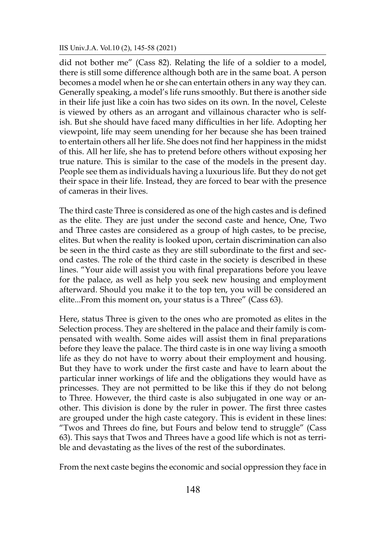did not bother me" (Cass 82). Relating the life of a soldier to a model, there is still some difference although both are in the same boat. A person becomes a model when he or she can entertain others in any way they can. Generally speaking, a model's life runs smoothly. But there is another side in their life just like a coin has two sides on its own. In the novel, Celeste is viewed by others as an arrogant and villainous character who is selfish. But she should have faced many difficulties in her life. Adopting her viewpoint, life may seem unending for her because she has been trained to entertain others all her life. She does not find her happiness in the midst of this. All her life, she has to pretend before others without exposing her true nature. This is similar to the case of the models in the present day. People see them as individuals having a luxurious life. But they do not get their space in their life. Instead, they are forced to bear with the presence of cameras in their lives.

The third caste Three is considered as one of the high castes and is defined as the elite. They are just under the second caste and hence, One, Two and Three castes are considered as a group of high castes, to be precise, elites. But when the reality is looked upon, certain discrimination can also be seen in the third caste as they are still subordinate to the first and second castes. The role of the third caste in the society is described in these lines. "Your aide will assist you with final preparations before you leave for the palace, as well as help you seek new housing and employment afterward. Should you make it to the top ten, you will be considered an elite...From this moment on, your status is a Three" (Cass 63).

Here, status Three is given to the ones who are promoted as elites in the Selection process. They are sheltered in the palace and their family is compensated with wealth. Some aides will assist them in final preparations before they leave the palace. The third caste is in one way living a smooth life as they do not have to worry about their employment and housing. But they have to work under the first caste and have to learn about the particular inner workings of life and the obligations they would have as princesses. They are not permitted to be like this if they do not belong to Three. However, the third caste is also subjugated in one way or another. This division is done by the ruler in power. The first three castes are grouped under the high caste category. This is evident in these lines: "Twos and Threes do fine, but Fours and below tend to struggle" (Cass 63). This says that Twos and Threes have a good life which is not as terrible and devastating as the lives of the rest of the subordinates.

From the next caste begins the economic and social oppression they face in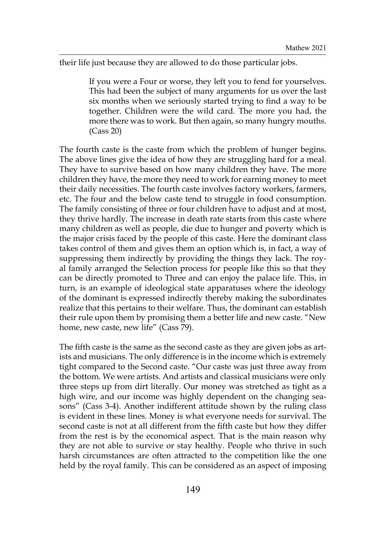their life just because they are allowed to do those particular jobs.

If you were a Four or worse, they left you to fend for yourselves. This had been the subject of many arguments for us over the last six months when we seriously started trying to find a way to be together. Children were the wild card. The more you had, the more there was to work. But then again, so many hungry mouths. (Cass 20)

The fourth caste is the caste from which the problem of hunger begins. The above lines give the idea of how they are struggling hard for a meal. They have to survive based on how many children they have. The more children they have, the more they need to work for earning money to meet their daily necessities. The fourth caste involves factory workers, farmers, etc. The four and the below caste tend to struggle in food consumption. The family consisting of three or four children have to adjust and at most, they thrive hardly. The increase in death rate starts from this caste where many children as well as people, die due to hunger and poverty which is the major crisis faced by the people of this caste. Here the dominant class takes control of them and gives them an option which is, in fact, a way of suppressing them indirectly by providing the things they lack. The royal family arranged the Selection process for people like this so that they can be directly promoted to Three and can enjoy the palace life. This, in turn, is an example of ideological state apparatuses where the ideology of the dominant is expressed indirectly thereby making the subordinates realize that this pertains to their welfare. Thus, the dominant can establish their rule upon them by promising them a better life and new caste. "New home, new caste, new life" (Cass 79).

The fifth caste is the same as the second caste as they are given jobs as artists and musicians. The only difference is in the income which is extremely tight compared to the Second caste. "Our caste was just three away from the bottom. We were artists. And artists and classical musicians were only three steps up from dirt literally. Our money was stretched as tight as a high wire, and our income was highly dependent on the changing seasons" (Cass 3-4). Another indifferent attitude shown by the ruling class is evident in these lines. Money is what everyone needs for survival. The second caste is not at all different from the fifth caste but how they differ from the rest is by the economical aspect. That is the main reason why they are not able to survive or stay healthy. People who thrive in such harsh circumstances are often attracted to the competition like the one held by the royal family. This can be considered as an aspect of imposing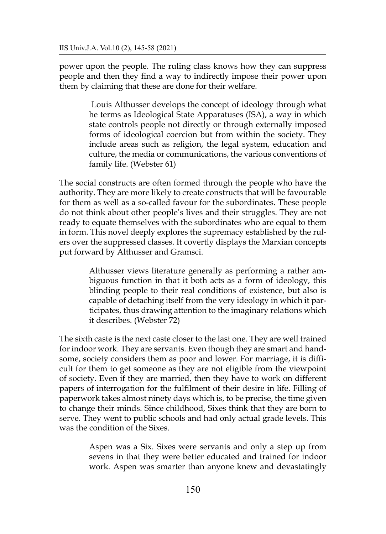power upon the people. The ruling class knows how they can suppress people and then they find a way to indirectly impose their power upon them by claiming that these are done for their welfare.

> Louis Althusser develops the concept of ideology through what he terms as Ideological State Apparatuses (ISA), a way in which state controls people not directly or through externally imposed forms of ideological coercion but from within the society. They include areas such as religion, the legal system, education and culture, the media or communications, the various conventions of family life. (Webster 61)

The social constructs are often formed through the people who have the authority. They are more likely to create constructs that will be favourable for them as well as a so-called favour for the subordinates. These people do not think about other people's lives and their struggles. They are not ready to equate themselves with the subordinates who are equal to them in form. This novel deeply explores the supremacy established by the rulers over the suppressed classes. It covertly displays the Marxian concepts put forward by Althusser and Gramsci.

> Althusser views literature generally as performing a rather ambiguous function in that it both acts as a form of ideology, this blinding people to their real conditions of existence, but also is capable of detaching itself from the very ideology in which it participates, thus drawing attention to the imaginary relations which it describes. (Webster 72)

The sixth caste is the next caste closer to the last one. They are well trained for indoor work. They are servants. Even though they are smart and handsome, society considers them as poor and lower. For marriage, it is difficult for them to get someone as they are not eligible from the viewpoint of society. Even if they are married, then they have to work on different papers of interrogation for the fulfilment of their desire in life. Filling of paperwork takes almost ninety days which is, to be precise, the time given to change their minds. Since childhood, Sixes think that they are born to serve. They went to public schools and had only actual grade levels. This was the condition of the Sixes.

> Aspen was a Six. Sixes were servants and only a step up from sevens in that they were better educated and trained for indoor work. Aspen was smarter than anyone knew and devastatingly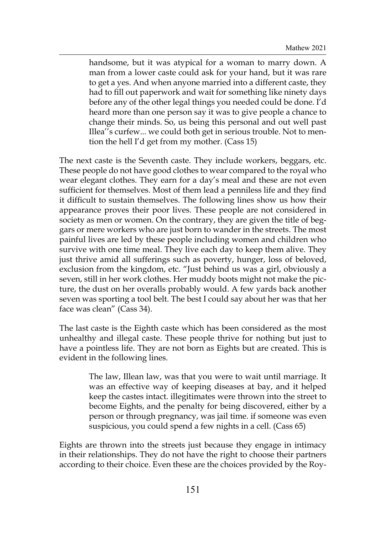handsome, but it was atypical for a woman to marry down. A man from a lower caste could ask for your hand, but it was rare to get a yes. And when anyone married into a different caste, they had to fill out paperwork and wait for something like ninety days before any of the other legal things you needed could be done. I'd heard more than one person say it was to give people a chance to change their minds. So, us being this personal and out well past Illea''s curfew... we could both get in serious trouble. Not to mention the hell I'd get from my mother. (Cass 15)

The next caste is the Seventh caste. They include workers, beggars, etc. These people do not have good clothes to wear compared to the royal who wear elegant clothes. They earn for a day's meal and these are not even sufficient for themselves. Most of them lead a penniless life and they find it difficult to sustain themselves. The following lines show us how their appearance proves their poor lives. These people are not considered in society as men or women. On the contrary, they are given the title of beggars or mere workers who are just born to wander in the streets. The most painful lives are led by these people including women and children who survive with one time meal. They live each day to keep them alive. They just thrive amid all sufferings such as poverty, hunger, loss of beloved, exclusion from the kingdom, etc. "Just behind us was a girl, obviously a seven, still in her work clothes. Her muddy boots might not make the picture, the dust on her overalls probably would. A few yards back another seven was sporting a tool belt. The best I could say about her was that her face was clean" (Cass 34).

The last caste is the Eighth caste which has been considered as the most unhealthy and illegal caste. These people thrive for nothing but just to have a pointless life. They are not born as Eights but are created. This is evident in the following lines.

> The law, Illean law, was that you were to wait until marriage. It was an effective way of keeping diseases at bay, and it helped keep the castes intact. illegitimates were thrown into the street to become Eights, and the penalty for being discovered, either by a person or through pregnancy, was jail time. if someone was even suspicious, you could spend a few nights in a cell. (Cass 65)

Eights are thrown into the streets just because they engage in intimacy in their relationships. They do not have the right to choose their partners according to their choice. Even these are the choices provided by the Roy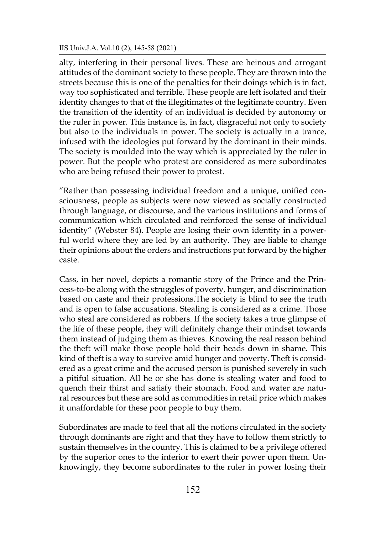alty, interfering in their personal lives. These are heinous and arrogant attitudes of the dominant society to these people. They are thrown into the streets because this is one of the penalties for their doings which is in fact, way too sophisticated and terrible. These people are left isolated and their identity changes to that of the illegitimates of the legitimate country. Even the transition of the identity of an individual is decided by autonomy or the ruler in power. This instance is, in fact, disgraceful not only to society but also to the individuals in power. The society is actually in a trance, infused with the ideologies put forward by the dominant in their minds. The society is moulded into the way which is appreciated by the ruler in power. But the people who protest are considered as mere subordinates who are being refused their power to protest.

"Rather than possessing individual freedom and a unique, unified consciousness, people as subjects were now viewed as socially constructed through language, or discourse, and the various institutions and forms of communication which circulated and reinforced the sense of individual identity" (Webster 84). People are losing their own identity in a powerful world where they are led by an authority. They are liable to change their opinions about the orders and instructions put forward by the higher caste.

Cass, in her novel, depicts a romantic story of the Prince and the Princess-to-be along with the struggles of poverty, hunger, and discrimination based on caste and their professions.The society is blind to see the truth and is open to false accusations. Stealing is considered as a crime. Those who steal are considered as robbers. If the society takes a true glimpse of the life of these people, they will definitely change their mindset towards them instead of judging them as thieves. Knowing the real reason behind the theft will make those people hold their heads down in shame. This kind of theft is a way to survive amid hunger and poverty. Theft is considered as a great crime and the accused person is punished severely in such a pitiful situation. All he or she has done is stealing water and food to quench their thirst and satisfy their stomach. Food and water are natural resources but these are sold as commodities in retail price which makes it unaffordable for these poor people to buy them.

Subordinates are made to feel that all the notions circulated in the society through dominants are right and that they have to follow them strictly to sustain themselves in the country. This is claimed to be a privilege offered by the superior ones to the inferior to exert their power upon them. Unknowingly, they become subordinates to the ruler in power losing their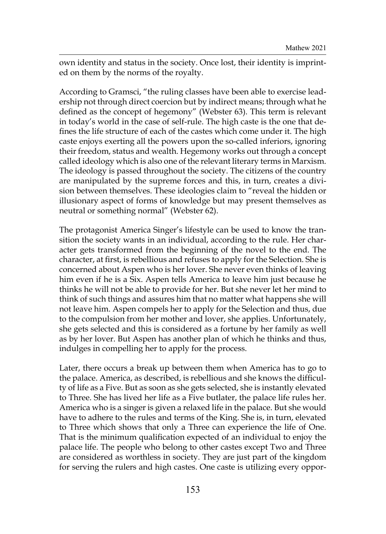own identity and status in the society. Once lost, their identity is imprinted on them by the norms of the royalty.

According to Gramsci, "the ruling classes have been able to exercise leadership not through direct coercion but by indirect means; through what he defined as the concept of hegemony" (Webster 63). This term is relevant in today's world in the case of self-rule. The high caste is the one that defines the life structure of each of the castes which come under it. The high caste enjoys exerting all the powers upon the so-called inferiors, ignoring their freedom, status and wealth. Hegemony works out through a concept called ideology which is also one of the relevant literary terms in Marxism. The ideology is passed throughout the society. The citizens of the country are manipulated by the supreme forces and this, in turn, creates a division between themselves. These ideologies claim to "reveal the hidden or illusionary aspect of forms of knowledge but may present themselves as neutral or something normal" (Webster 62).

The protagonist America Singer's lifestyle can be used to know the transition the society wants in an individual, according to the rule. Her character gets transformed from the beginning of the novel to the end. The character, at first, is rebellious and refuses to apply for the Selection. She is concerned about Aspen who is her lover. She never even thinks of leaving him even if he is a Six. Aspen tells America to leave him just because he thinks he will not be able to provide for her. But she never let her mind to think of such things and assures him that no matter what happens she will not leave him. Aspen compels her to apply for the Selection and thus, due to the compulsion from her mother and lover, she applies. Unfortunately, she gets selected and this is considered as a fortune by her family as well as by her lover. But Aspen has another plan of which he thinks and thus, indulges in compelling her to apply for the process.

Later, there occurs a break up between them when America has to go to the palace. America, as described, is rebellious and she knows the difficulty of life as a Five. But as soon as she gets selected, she is instantly elevated to Three. She has lived her life as a Five butlater, the palace life rules her. America who is a singer is given a relaxed life in the palace. But she would have to adhere to the rules and terms of the King. She is, in turn, elevated to Three which shows that only a Three can experience the life of One. That is the minimum qualification expected of an individual to enjoy the palace life. The people who belong to other castes except Two and Three are considered as worthless in society. They are just part of the kingdom for serving the rulers and high castes. One caste is utilizing every oppor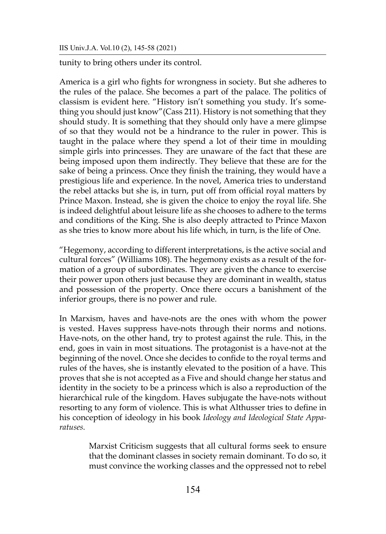tunity to bring others under its control.

America is a girl who fights for wrongness in society. But she adheres to the rules of the palace. She becomes a part of the palace. The politics of classism is evident here. "History isn't something you study. It's something you should just know"(Cass 211). History is not something that they should study. It is something that they should only have a mere glimpse of so that they would not be a hindrance to the ruler in power. This is taught in the palace where they spend a lot of their time in moulding simple girls into princesses. They are unaware of the fact that these are being imposed upon them indirectly. They believe that these are for the sake of being a princess. Once they finish the training, they would have a prestigious life and experience. In the novel, America tries to understand the rebel attacks but she is, in turn, put off from official royal matters by Prince Maxon. Instead, she is given the choice to enjoy the royal life. She is indeed delightful about leisure life as she chooses to adhere to the terms and conditions of the King. She is also deeply attracted to Prince Maxon as she tries to know more about his life which, in turn, is the life of One.

"Hegemony, according to different interpretations, is the active social and cultural forces" (Williams 108). The hegemony exists as a result of the formation of a group of subordinates. They are given the chance to exercise their power upon others just because they are dominant in wealth, status and possession of the property. Once there occurs a banishment of the inferior groups, there is no power and rule.

In Marxism, haves and have-nots are the ones with whom the power is vested. Haves suppress have-nots through their norms and notions. Have-nots, on the other hand, try to protest against the rule. This, in the end, goes in vain in most situations. The protagonist is a have-not at the beginning of the novel. Once she decides to confide to the royal terms and rules of the haves, she is instantly elevated to the position of a have. This proves that she is not accepted as a Five and should change her status and identity in the society to be a princess which is also a reproduction of the hierarchical rule of the kingdom. Haves subjugate the have-nots without resorting to any form of violence. This is what Althusser tries to define in his conception of ideology in his book *Ideology and Ideological State Apparatuses.*

> Marxist Criticism suggests that all cultural forms seek to ensure that the dominant classes in society remain dominant. To do so, it must convince the working classes and the oppressed not to rebel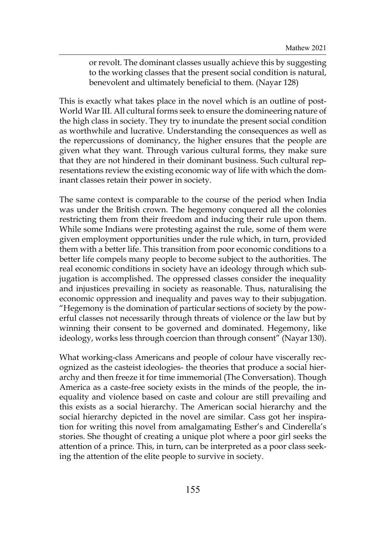or revolt. The dominant classes usually achieve this by suggesting to the working classes that the present social condition is natural, benevolent and ultimately beneficial to them. (Nayar 128)

This is exactly what takes place in the novel which is an outline of post-World War III. All cultural forms seek to ensure the domineering nature of the high class in society. They try to inundate the present social condition as worthwhile and lucrative. Understanding the consequences as well as the repercussions of dominancy, the higher ensures that the people are given what they want. Through various cultural forms, they make sure that they are not hindered in their dominant business. Such cultural representations review the existing economic way of life with which the dominant classes retain their power in society.

The same context is comparable to the course of the period when India was under the British crown. The hegemony conquered all the colonies restricting them from their freedom and inducing their rule upon them. While some Indians were protesting against the rule, some of them were given employment opportunities under the rule which, in turn, provided them with a better life. This transition from poor economic conditions to a better life compels many people to become subject to the authorities. The real economic conditions in society have an ideology through which subjugation is accomplished. The oppressed classes consider the inequality and injustices prevailing in society as reasonable. Thus, naturalising the economic oppression and inequality and paves way to their subjugation. "Hegemony is the domination of particular sections of society by the powerful classes not necessarily through threats of violence or the law but by winning their consent to be governed and dominated. Hegemony, like ideology, works less through coercion than through consent" (Nayar 130).

What working-class Americans and people of colour have viscerally recognized as the casteist ideologies- the theories that produce a social hierarchy and then freeze it for time immemorial (The Conversation). Though America as a caste-free society exists in the minds of the people, the inequality and violence based on caste and colour are still prevailing and this exists as a social hierarchy. The American social hierarchy and the social hierarchy depicted in the novel are similar. Cass got her inspiration for writing this novel from amalgamating Esther's and Cinderella's stories. She thought of creating a unique plot where a poor girl seeks the attention of a prince. This, in turn, can be interpreted as a poor class seeking the attention of the elite people to survive in society.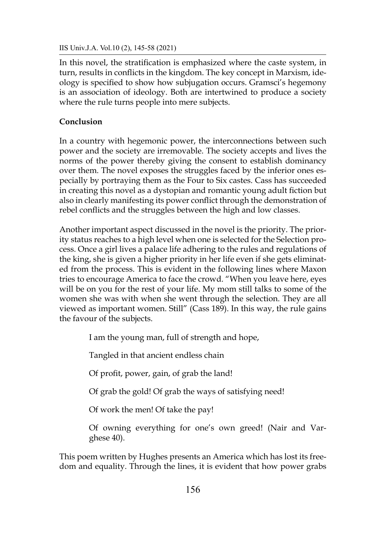IIS Univ.J.A. Vol.10 (2), 145-58 (2021)

In this novel, the stratification is emphasized where the caste system, in turn, results in conflicts in the kingdom. The key concept in Marxism, ideology is specified to show how subjugation occurs. Gramsci's hegemony is an association of ideology. Both are intertwined to produce a society where the rule turns people into mere subjects.

## **Conclusion**

In a country with hegemonic power, the interconnections between such power and the society are irremovable. The society accepts and lives the norms of the power thereby giving the consent to establish dominancy over them. The novel exposes the struggles faced by the inferior ones especially by portraying them as the Four to Six castes. Cass has succeeded in creating this novel as a dystopian and romantic young adult fiction but also in clearly manifesting its power conflict through the demonstration of rebel conflicts and the struggles between the high and low classes.

Another important aspect discussed in the novel is the priority. The priority status reaches to a high level when one is selected for the Selection process. Once a girl lives a palace life adhering to the rules and regulations of the king, she is given a higher priority in her life even if she gets eliminated from the process. This is evident in the following lines where Maxon tries to encourage America to face the crowd. "When you leave here, eyes will be on you for the rest of your life. My mom still talks to some of the women she was with when she went through the selection. They are all viewed as important women. Still" (Cass 189). In this way, the rule gains the favour of the subjects.

I am the young man, full of strength and hope,

Tangled in that ancient endless chain

Of profit, power, gain, of grab the land!

Of grab the gold! Of grab the ways of satisfying need!

Of work the men! Of take the pay!

Of owning everything for one's own greed! (Nair and Varghese 40).

This poem written by Hughes presents an America which has lost its freedom and equality. Through the lines, it is evident that how power grabs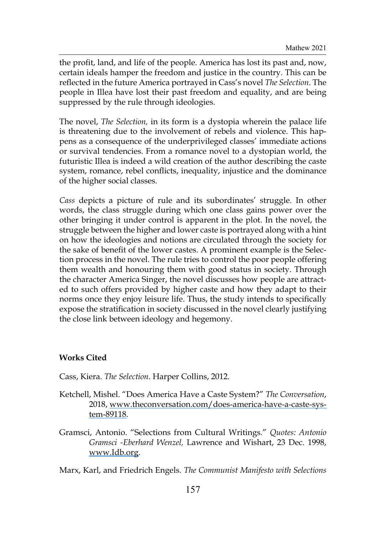the profit, land, and life of the people. America has lost its past and, now, certain ideals hamper the freedom and justice in the country. This can be reflected in the future America portrayed in Cass's novel *The Selection*. The people in Illea have lost their past freedom and equality, and are being suppressed by the rule through ideologies.

The novel, *The Selection,* in its form is a dystopia wherein the palace life is threatening due to the involvement of rebels and violence. This happens as a consequence of the underprivileged classes' immediate actions or survival tendencies. From a romance novel to a dystopian world, the futuristic Illea is indeed a wild creation of the author describing the caste system, romance, rebel conflicts, inequality, injustice and the dominance of the higher social classes.

*Cass* depicts a picture of rule and its subordinates' struggle. In other words, the class struggle during which one class gains power over the other bringing it under control is apparent in the plot. In the novel, the struggle between the higher and lower caste is portrayed along with a hint on how the ideologies and notions are circulated through the society for the sake of benefit of the lower castes. A prominent example is the Selection process in the novel. The rule tries to control the poor people offering them wealth and honouring them with good status in society. Through the character America Singer, the novel discusses how people are attracted to such offers provided by higher caste and how they adapt to their norms once they enjoy leisure life. Thus, the study intends to specifically expose the stratification in society discussed in the novel clearly justifying the close link between ideology and hegemony.

### **Works Cited**

Cass, Kiera. *The Selection*. Harper Collins, 2012.

- Ketchell, Mishel. "Does America Have a Caste System?" *The Conversation*, 2018, [www.theconversation.com/does-america-have-a-caste-sys](http://www.theconversation.com/does-america-have-a-caste-system-89118)[tem-89118](http://www.theconversation.com/does-america-have-a-caste-system-89118).
- Gramsci, Antonio. "Selections from Cultural Writings." *Quotes: Antonio Gramsci -Eberhard Wenzel,* Lawrence and Wishart, 23 Dec. 1998, [www.Idb.org](http://www.Idb.org).

Marx, Karl, and Friedrich Engels. *The Communist Manifesto with Selections*